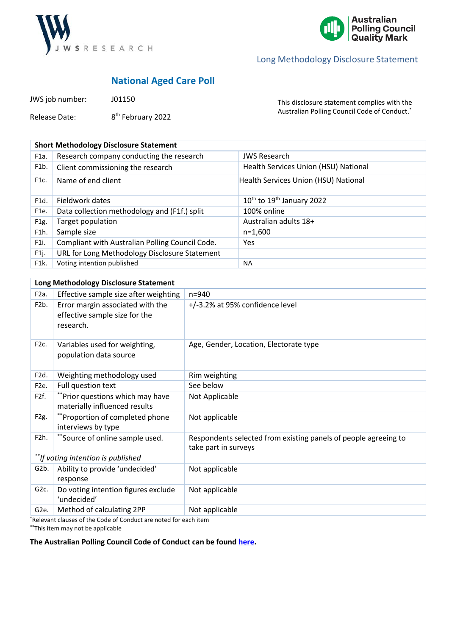



# Long Methodology Disclosure Statement

## **National Aged Care Poll**

| JWS job number: | J01150                        |
|-----------------|-------------------------------|
| Release Date:   | 8 <sup>th</sup> February 2022 |

This disclosure statement complies with the Australian Polling Council Code of Conduct.\*

| <b>Short Methodology Disclosure Statement</b> |                                                 |                                      |  |
|-----------------------------------------------|-------------------------------------------------|--------------------------------------|--|
| F1a.                                          | Research company conducting the research        | <b>JWS Research</b>                  |  |
| F <sub>1</sub> b.                             | Client commissioning the research               | Health Services Union (HSU) National |  |
| F1c.                                          | Name of end client                              | Health Services Union (HSU) National |  |
| F1d.                                          | Fieldwork dates                                 | $10^{th}$ to $19^{th}$ January 2022  |  |
| F <sub>1e</sub> .                             | Data collection methodology and (F1f.) split    | 100% online                          |  |
| F <sub>1</sub> g.                             | Target population                               | Australian adults 18+                |  |
| F1h.                                          | Sample size                                     | $n=1.600$                            |  |
| F1i.                                          | Compliant with Australian Polling Council Code. | Yes                                  |  |
| F1j.                                          | URL for Long Methodology Disclosure Statement   |                                      |  |
| F1k.                                          | Voting intention published                      | <b>NA</b>                            |  |

| Long Methodology Disclosure Statement |                                                                                |                                                                                         |
|---------------------------------------|--------------------------------------------------------------------------------|-----------------------------------------------------------------------------------------|
| F <sub>2</sub> a.                     | Effective sample size after weighting                                          | $n = 940$                                                                               |
| F <sub>2</sub> b.                     | Error margin associated with the<br>effective sample size for the<br>research. | +/-3.2% at 95% confidence level                                                         |
| F <sub>2</sub> c.                     | Variables used for weighting,<br>population data source                        | Age, Gender, Location, Electorate type                                                  |
| F <sub>2d</sub> .                     | Weighting methodology used                                                     | Rim weighting                                                                           |
| F <sub>2</sub> e.                     | Full question text                                                             | See below                                                                               |
| F2f.                                  | **Prior questions which may have<br>materially influenced results              | Not Applicable                                                                          |
| F <sub>2g</sub> .                     | **Proportion of completed phone<br>interviews by type                          | Not applicable                                                                          |
| F <sub>2</sub> h.                     | *Source of online sample used.                                                 | Respondents selected from existing panels of people agreeing to<br>take part in surveys |
| **If voting intention is published    |                                                                                |                                                                                         |
| G2b.                                  | Ability to provide 'undecided'<br>response                                     | Not applicable                                                                          |
| G <sub>2c</sub> .                     | Do voting intention figures exclude<br>'undecided'                             | Not applicable                                                                          |
| G <sub>2</sub> e.                     | Method of calculating 2PP                                                      | Not applicable                                                                          |

\*Relevant clauses of the Code of Conduct are noted for each item

\*\*This item may not be applicable

## **The Australian Polling Council Code of Conduct can be found here.**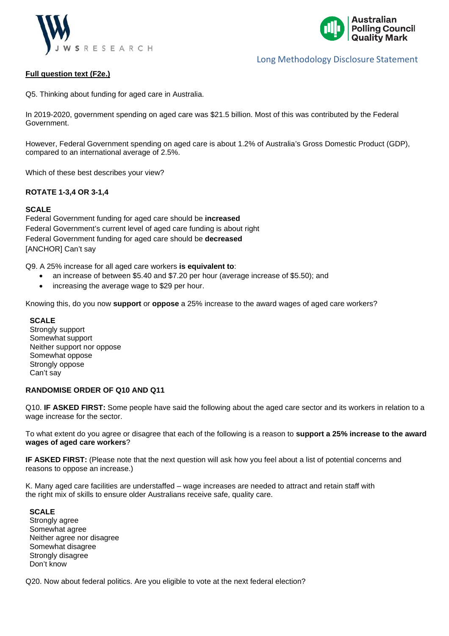



## Long Methodology Disclosure Statement

#### **Full question text (F2e.)**

Q5. Thinking about funding for aged care in Australia.

In 2019-2020, government spending on aged care was \$21.5 billion. Most of this was contributed by the Federal Government.

However, Federal Government spending on aged care is about 1.2% of Australia's Gross Domestic Product (GDP), compared to an international average of 2.5%.

Which of these best describes your view?

#### **ROTATE 1-3,4 OR 3-1,4**

#### **SCALE**

Federal Government funding for aged care should be **increased** Federal Government's current level of aged care funding is about right Federal Government funding for aged care should be **decreased** [ANCHOR] Can't say

Q9. A 25% increase for all aged care workers **is equivalent to**:

- an increase of between \$5.40 and \$7.20 per hour (average increase of \$5.50); and
- increasing the average wage to \$29 per hour.

Knowing this, do you now **support** or **oppose** a 25% increase to the award wages of aged care workers?

#### **SCALE**

Strongly support Somewhat support Neither support nor oppose Somewhat oppose Strongly oppose Can't say

#### **RANDOMISE ORDER OF Q10 AND Q11**

Q10. **IF ASKED FIRST:** Some people have said the following about the aged care sector and its workers in relation to a wage increase for the sector.

To what extent do you agree or disagree that each of the following is a reason to **support a 25% increase to the award wages of aged care workers**?

**IF ASKED FIRST:** (Please note that the next question will ask how you feel about a list of potential concerns and reasons to oppose an increase.)

K. Many aged care facilities are understaffed – wage increases are needed to attract and retain staff with the right mix of skills to ensure older Australians receive safe, quality care.

#### **SCALE**

Strongly agree Somewhat agree Neither agree nor disagree Somewhat disagree Strongly disagree Don't know

Q20. Now about federal politics. Are you eligible to vote at the next federal election?